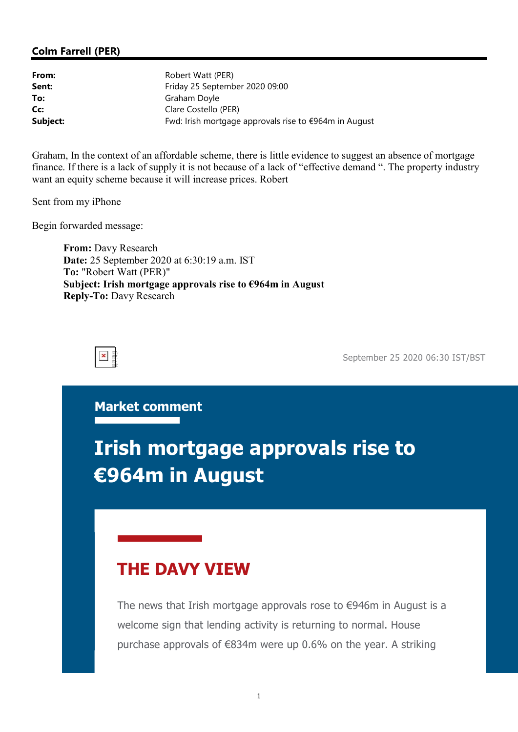#### Colm Farrell (PER)

| From:    | Robert Watt (PER)                                     |  |
|----------|-------------------------------------------------------|--|
| Sent:    | Friday 25 September 2020 09:00                        |  |
| To:      | Graham Doyle                                          |  |
| Cc:      | Clare Costello (PER)                                  |  |
| Subject: | Fwd: Irish mortgage approvals rise to €964m in August |  |

Graham, In the context of an affordable scheme, there is little evidence to suggest an absence of mortgage finance. If there is a lack of supply it is not because of a lack of "effective demand ". The property industry want an equity scheme because it will increase prices. Robert

Sent from my iPhone

Begin forwarded message:

From: Davy Research Date: 25 September 2020 at 6:30:19 a.m. IST To: "Robert Watt (PER)" Subject: Irish mortgage approvals rise to €964m in August Reply-To: Davy Research

September 25 2020 06:30 IST/BST

Market comment

# Irish mortgage approvals rise to €964m in August

## THE DAVY VIEW

The news that Irish mortgage approvals rose to €946m in August is a welcome sign that lending activity is returning to normal. House purchase approvals of €834m were up 0.6% on the year. A striking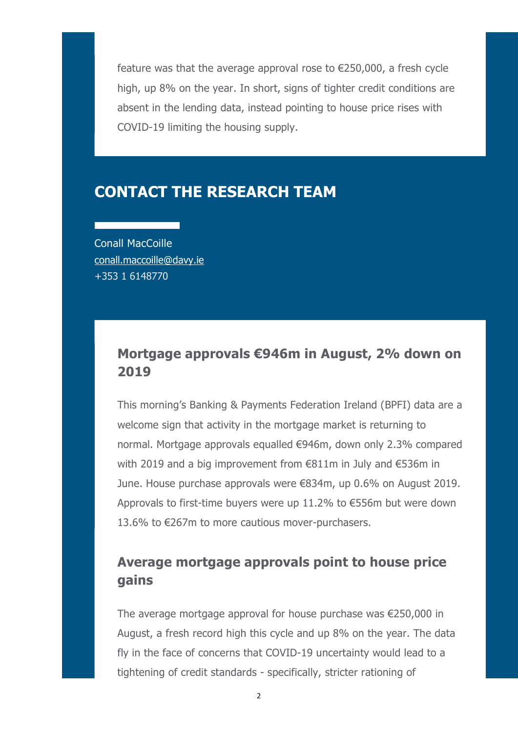feature was that the average approval rose to  $\epsilon$ 250,000, a fresh cycle high, up 8% on the year. In short, signs of tighter credit conditions are absent in the lending data, instead pointing to house price rises with COVID-19 limiting the housing supply.

## CONTACT THE RESEARCH TEAM

Conall MacCoille conall.maccoille@davy.ie +353 1 6148770

### Mortgage approvals €946m in August, 2% down on 2019

This morning's Banking & Payments Federation Ireland (BPFI) data are a welcome sign that activity in the mortgage market is returning to normal. Mortgage approvals equalled €946m, down only 2.3% compared with 2019 and a big improvement from €811m in July and €536m in June. House purchase approvals were €834m, up 0.6% on August 2019. Approvals to first-time buyers were up 11.2% to €556m but were down 13.6% to €267m to more cautious mover-purchasers.

#### Average mortgage approvals point to house price gains

The average mortgage approval for house purchase was €250,000 in August, a fresh record high this cycle and up 8% on the year. The data fly in the face of concerns that COVID-19 uncertainty would lead to a tightening of credit standards - specifically, stricter rationing of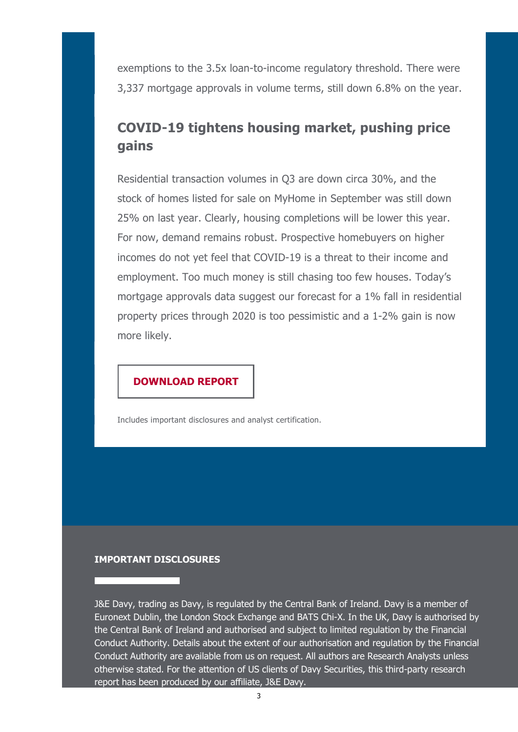exemptions to the 3.5x loan-to-income regulatory threshold. There were 3,337 mortgage approvals in volume terms, still down 6.8% on the year.

## COVID-19 tightens housing market, pushing price gains

Residential transaction volumes in Q3 are down circa 30%, and the stock of homes listed for sale on MyHome in September was still down 25% on last year. Clearly, housing completions will be lower this year. For now, demand remains robust. Prospective homebuyers on higher incomes do not yet feel that COVID-19 is a threat to their income and employment. Too much money is still chasing too few houses. Today's mortgage approvals data suggest our forecast for a 1% fall in residential property prices through 2020 is too pessimistic and a 1-2% gain is now more likely.

#### DOWNLOAD REPORT

Includes important disclosures and analyst certification.

#### IMPORTANT DISCLOSURES

J&E Davy, trading as Davy, is regulated by the Central Bank of Ireland. Davy is a member of Euronext Dublin, the London Stock Exchange and BATS Chi-X. In the UK, Davy is authorised by the Central Bank of Ireland and authorised and subject to limited regulation by the Financial Conduct Authority. Details about the extent of our authorisation and regulation by the Financial Conduct Authority are available from us on request. All authors are Research Analysts unless otherwise stated. For the attention of US clients of Davy Securities, this third-party research report has been produced by our affiliate, J&E Davy.